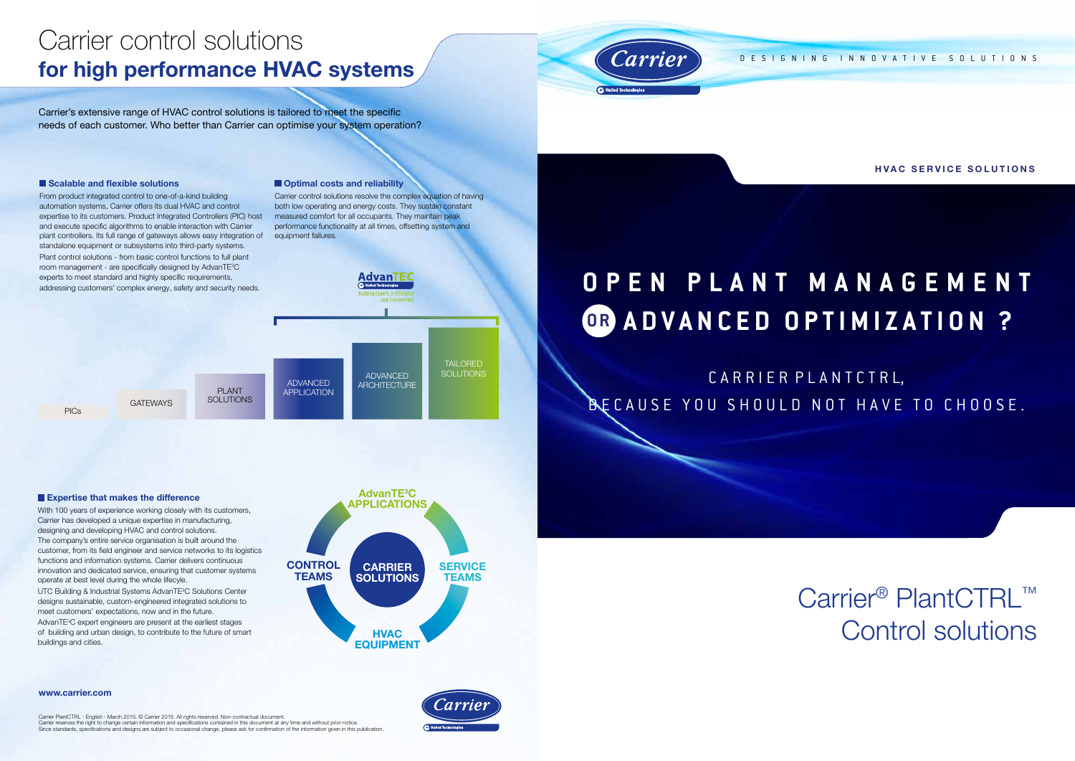# **Open P lant Manage m ent OR ADVANCED OPTIMIZATION ?**

CARRIER PLANTCTRL, BECAUSE YOU SHOULD NOT HAVE TO CHOOSE.

> Carrier<sup>®</sup> PlantCTRL™ Control solutions

designing innovative solutions

HVAC SERVICE SOLUTIONS

Carrier PlantCTRL - English - March 2015. © Carrier 2015. All rights reserved. Non-contractual document.<br>Carrier reserves the right to change certain information and specifications contained in this document at any time an Since standards, specifications and designs are subject to occasional change, please ask for confirmation of the information given in this publication.



www.carrier.com

# Carrier control solutions for high performance HVAC systems

Carrier's extensive range of HVAC control solutions is tailored to meet the specific needs of each customer. Who better than Carrier can optimise your system operation?

# *carrier*

#### Scalable and flexible solutions

UTC Building & Industrial Systems AdvanTE<sup>3</sup>C Solutions Center designs sustainable, custom-engineered integrated solutions to meet customers' expectations, now and in the future. AdvanTE<sup>3</sup>C expert engineers are present at the earliest stages of building and urban design, to contribute to the future of smart buildings and cities.

From product integrated control to one-of-a-kind building automation systems, Carrier offers its dual HVAC and control expertise to its customers. Product Integrated Controllers (PIC) host and execute specific algorithms to enable interaction with Carrier plant controllers. Its full range of gateways allows easy integration of standalone equipment or subsystems into third-party systems. Plant control solutions - from basic control functions to full plant room management - are specifically designed by AdvanTE<sup>3</sup>C

#### **Optimal costs and reliability**

With 100 years of experience working closely with its customers, Carrier has developed a unique expertise in manufacturing, designing and developing HVAC and control solutions. The company's entire service organisation is built around the customer, from its field engineer and service networks to its logistics functions and information systems. Carrier delivers continuous innovation and dedicated service, ensuring that customer systems operate at best level during the whole lifecyle.



#### **Expertise that makes the difference**

Carrier control solutions resolve the complex equation of having both low operating and energy costs. They sustain constant measured comfort for all occupants. They maintain peak performance functionality at all times, offsetting system and equipment failures.